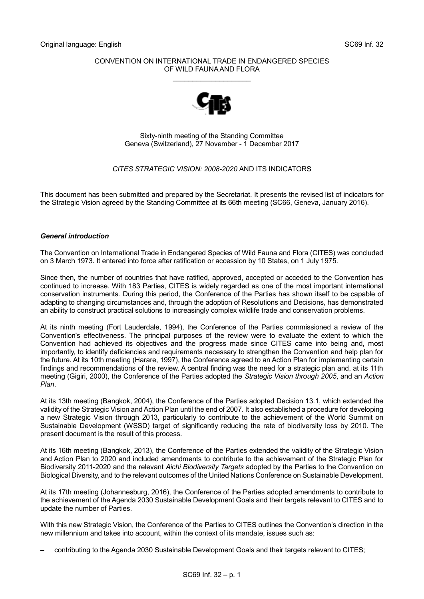## CONVENTION ON INTERNATIONAL TRADE IN ENDANGERED SPECIES OF WILD FAUNA AND FLORA

\_\_\_\_\_\_\_\_\_\_\_\_\_\_\_\_\_\_\_\_



Sixty-ninth meeting of the Standing Committee Geneva (Switzerland), 27 November - 1 December 2017

## *CITES STRATEGIC VISION: 2008-2020* AND ITS INDICATORS

This document has been submitted and prepared by the Secretariat. It presents the revised list of indicators for the Strategic Vision agreed by the Standing Committee at its 66th meeting (SC66, Geneva, January 2016).

## *General introduction*

The Convention on International Trade in Endangered Species of Wild Fauna and Flora (CITES) was concluded on 3 March 1973. It entered into force after ratification or accession by 10 States, on 1 July 1975.

Since then, the number of countries that have ratified, approved, accepted or acceded to the Convention has continued to increase. With 183 Parties, CITES is widely regarded as one of the most important international conservation instruments. During this period, the Conference of the Parties has shown itself to be capable of adapting to changing circumstances and, through the adoption of Resolutions and Decisions, has demonstrated an ability to construct practical solutions to increasingly complex wildlife trade and conservation problems.

At its ninth meeting (Fort Lauderdale, 1994), the Conference of the Parties commissioned a review of the Convention's effectiveness. The principal purposes of the review were to evaluate the extent to which the Convention had achieved its objectives and the progress made since CITES came into being and, most importantly, to identify deficiencies and requirements necessary to strengthen the Convention and help plan for the future. At its 10th meeting (Harare, 1997), the Conference agreed to an Action Plan for implementing certain findings and recommendations of the review. A central finding was the need for a strategic plan and, at its 11th meeting (Gigiri, 2000), the Conference of the Parties adopted the *Strategic Vision through 2005*, and an *Action Plan*.

At its 13th meeting (Bangkok, 2004), the Conference of the Parties adopted Decision 13.1, which extended the validity of the Strategic Vision and Action Plan until the end of 2007. It also established a procedure for developing a new Strategic Vision through 2013, particularly to contribute to the achievement of the World Summit on Sustainable Development (WSSD) target of significantly reducing the rate of biodiversity loss by 2010. The present document is the result of this process.

At its 16th meeting (Bangkok, 2013), the Conference of the Parties extended the validity of the Strategic Vision and Action Plan to 2020 and included amendments to contribute to the achievement of the Strategic Plan for Biodiversity 2011-2020 and the relevant *Aichi Biodiversity Targets* adopted by the Parties to the Convention on Biological Diversity, and to the relevant outcomes of the United Nations Conference on Sustainable Development.

At its 17th meeting (Johannesburg, 2016), the Conference of the Parties adopted amendments to contribute to the achievement of the Agenda 2030 Sustainable Development Goals and their targets relevant to CITES and to update the number of Parties.

With this new Strategic Vision, the Conference of the Parties to CITES outlines the Convention's direction in the new millennium and takes into account, within the context of its mandate, issues such as:

– contributing to the Agenda 2030 Sustainable Development Goals and their targets relevant to CITES;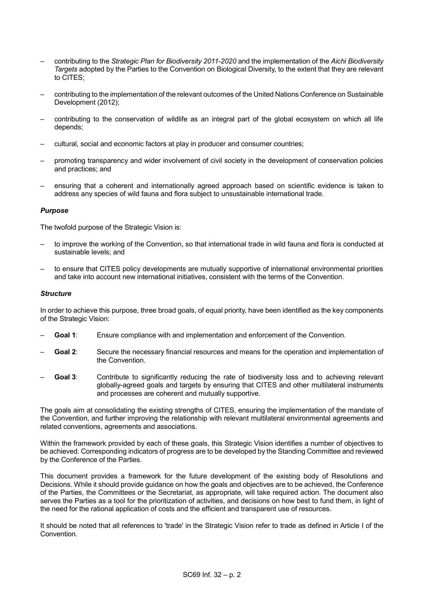- contributing to the *Strategic Plan for Biodiversity 2011-2020* and the implementation of the *Aichi Biodiversity Targets* adopted by the Parties to the Convention on Biological Diversity, to the extent that they are relevant to CITES;
- contributing to the implementation of the relevant outcomes of the United Nations Conference on Sustainable Development (2012);
- contributing to the conservation of wildlife as an integral part of the global ecosystem on which all life depends;
- cultural, social and economic factors at play in producer and consumer countries;
- promoting transparency and wider involvement of civil society in the development of conservation policies and practices; and
- ensuring that a coherent and internationally agreed approach based on scientific evidence is taken to address any species of wild fauna and flora subject to unsustainable international trade.

## *Purpose*

The twofold purpose of the Strategic Vision is:

- to improve the working of the Convention, so that international trade in wild fauna and flora is conducted at sustainable levels; and
- to ensure that CITES policy developments are mutually supportive of international environmental priorities and take into account new international initiatives, consistent with the terms of the Convention.

#### *Structure*

In order to achieve this purpose, three broad goals, of equal priority, have been identified as the key components of the Strategic Vision:

- **Goal 1**: Ensure compliance with and implementation and enforcement of the Convention.
- **Goal 2**: Secure the necessary financial resources and means for the operation and implementation of the Convention.
- **Goal 3**: Contribute to significantly reducing the rate of biodiversity loss and to achieving relevant globally-agreed goals and targets by ensuring that CITES and other multilateral instruments and processes are coherent and mutually supportive.

The goals aim at consolidating the existing strengths of CITES, ensuring the implementation of the mandate of the Convention, and further improving the relationship with relevant multilateral environmental agreements and related conventions, agreements and associations.

Within the framework provided by each of these goals, this Strategic Vision identifies a number of objectives to be achieved. Corresponding indicators of progress are to be developed by the Standing Committee and reviewed by the Conference of the Parties.

This document provides a framework for the future development of the existing body of Resolutions and Decisions. While it should provide guidance on how the goals and objectives are to be achieved, the Conference of the Parties, the Committees or the Secretariat, as appropriate, will take required action. The document also serves the Parties as a tool for the prioritization of activities, and decisions on how best to fund them, in light of the need for the rational application of costs and the efficient and transparent use of resources.

It should be noted that all references to 'trade' in the Strategic Vision refer to trade as defined in Article I of the Convention.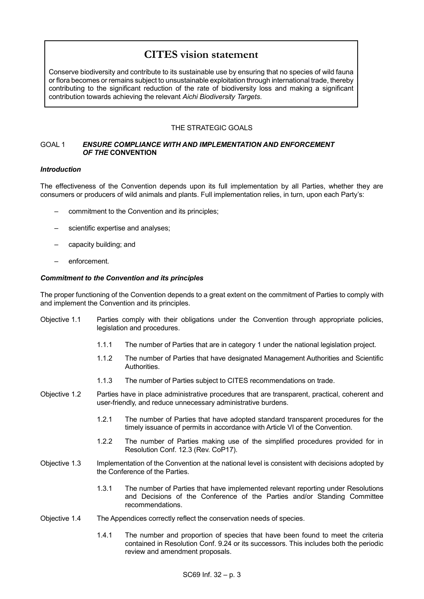# **CITES vision statement**

Conserve biodiversity and contribute to its sustainable use by ensuring that no species of wild fauna or flora becomes or remains subject to unsustainable exploitation through international trade, thereby contributing to the significant reduction of the rate of biodiversity loss and making a significant contribution towards achieving the relevant *Aichi Biodiversity Targets*.

# THE STRATEGIC GOALS

## GOAL 1 *ENSURE COMPLIANCE WITH AND IMPLEMENTATION AND ENFORCEMENT OF THE* **CONVENTION**

## *Introduction*

The effectiveness of the Convention depends upon its full implementation by all Parties, whether they are consumers or producers of wild animals and plants. Full implementation relies, in turn, upon each Party's:

- commitment to the Convention and its principles;
- scientific expertise and analyses;
- capacity building; and
- enforcement.

## *Commitment to the Convention and its principles*

The proper functioning of the Convention depends to a great extent on the commitment of Parties to comply with and implement the Convention and its principles.

- Objective 1.1 Parties comply with their obligations under the Convention through appropriate policies, legislation and procedures.
	- 1.1.1 The number of Parties that are in category 1 under the national legislation project.
	- 1.1.2 The number of Parties that have designated Management Authorities and Scientific Authorities.
	- 1.1.3 The number of Parties subject to CITES recommendations on trade.
- Objective 1.2 Parties have in place administrative procedures that are transparent, practical, coherent and user-friendly, and reduce unnecessary administrative burdens.
	- 1.2.1 The number of Parties that have adopted standard transparent procedures for the timely issuance of permits in accordance with Article VI of the Convention.
	- 1.2.2 The number of Parties making use of the simplified procedures provided for in Resolution Conf. 12.3 (Rev. CoP17).
- Objective 1.3 Implementation of the Convention at the national level is consistent with decisions adopted by the Conference of the Parties.
	- 1.3.1 The number of Parties that have implemented relevant reporting under Resolutions and Decisions of the Conference of the Parties and/or Standing Committee recommendations.
- Objective 1.4 The Appendices correctly reflect the conservation needs of species.
	- 1.4.1 The number and proportion of species that have been found to meet the criteria contained in Resolution Conf. 9.24 or its successors. This includes both the periodic review and amendment proposals.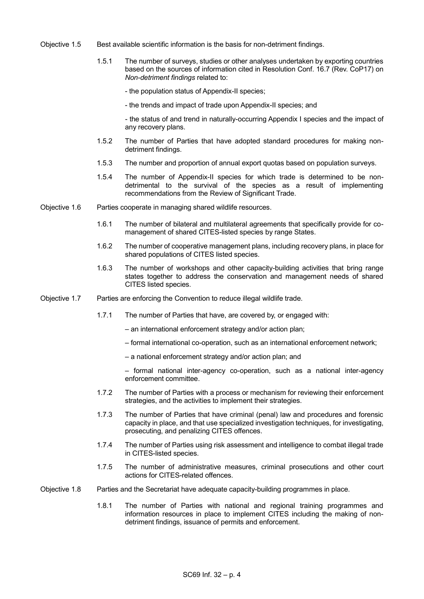- Objective 1.5 Best available scientific information is the basis for non-detriment findings.
	- 1.5.1 The number of surveys, studies or other analyses undertaken by exporting countries based on the sources of information cited in Resolution Conf. 16.7 (Rev. CoP17) on *Non-detriment findings* related to:
		- the population status of Appendix-II species;
		- the trends and impact of trade upon Appendix-II species; and

- the status of and trend in naturally-occurring Appendix I species and the impact of any recovery plans.

- 1.5.2 The number of Parties that have adopted standard procedures for making nondetriment findings.
- 1.5.3 The number and proportion of annual export quotas based on population surveys.
- 1.5.4 The number of Appendix-II species for which trade is determined to be nondetrimental to the survival of the species as a result of implementing recommendations from the Review of Significant Trade.
- Objective 1.6 Parties cooperate in managing shared wildlife resources.
	- 1.6.1 The number of bilateral and multilateral agreements that specifically provide for comanagement of shared CITES-listed species by range States.
	- 1.6.2 The number of cooperative management plans, including recovery plans, in place for shared populations of CITES listed species.
	- 1.6.3 The number of workshops and other capacity-building activities that bring range states together to address the conservation and management needs of shared CITES listed species.
- Objective 1.7 Parties are enforcing the Convention to reduce illegal wildlife trade.
	- 1.7.1 The number of Parties that have, are covered by, or engaged with:
		- an international enforcement strategy and/or action plan;
		- formal international co-operation, such as an international enforcement network;
		- a national enforcement strategy and/or action plan; and
		- formal national inter-agency co-operation, such as a national inter-agency enforcement committee.
	- 1.7.2 The number of Parties with a process or mechanism for reviewing their enforcement strategies, and the activities to implement their strategies.
	- 1.7.3 The number of Parties that have criminal (penal) law and procedures and forensic capacity in place, and that use specialized investigation techniques, for investigating, prosecuting, and penalizing CITES offences.
	- 1.7.4 The number of Parties using risk assessment and intelligence to combat illegal trade in CITES-listed species.
	- 1.7.5 The number of administrative measures, criminal prosecutions and other court actions for CITES-related offences.
- Objective 1.8 Parties and the Secretariat have adequate capacity-building programmes in place.
	- 1.8.1 The number of Parties with national and regional training programmes and information resources in place to implement CITES including the making of nondetriment findings, issuance of permits and enforcement.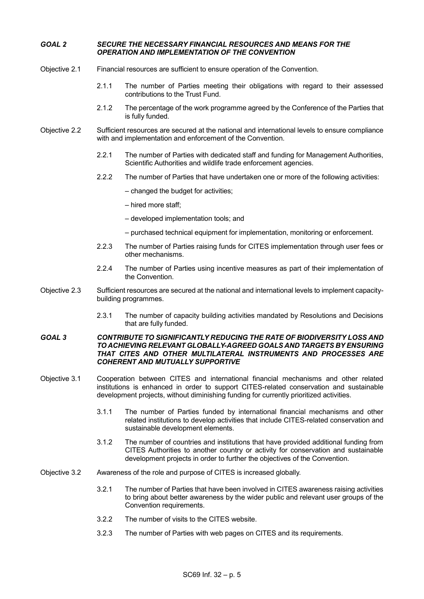## *GOAL 2 SECURE THE NECESSARY FINANCIAL RESOURCES AND MEANS FOR THE OPERATION AND IMPLEMENTATION OF THE CONVENTION*

- Objective 2.1 Financial resources are sufficient to ensure operation of the Convention.
	- 2.1.1 The number of Parties meeting their obligations with regard to their assessed contributions to the Trust Fund.
	- 2.1.2 The percentage of the work programme agreed by the Conference of the Parties that is fully funded.
- Objective 2.2 Sufficient resources are secured at the national and international levels to ensure compliance with and implementation and enforcement of the Convention.
	- 2.2.1 The number of Parties with dedicated staff and funding for Management Authorities, Scientific Authorities and wildlife trade enforcement agencies.
	- 2.2.2 The number of Parties that have undertaken one or more of the following activities:
		- changed the budget for activities;
		- hired more staff;
		- developed implementation tools; and
		- purchased technical equipment for implementation, monitoring or enforcement.
	- 2.2.3 The number of Parties raising funds for CITES implementation through user fees or other mechanisms.
	- 2.2.4 The number of Parties using incentive measures as part of their implementation of the Convention.
- Objective 2.3 Sufficient resources are secured at the national and international levels to implement capacitybuilding programmes.
	- 2.3.1 The number of capacity building activities mandated by Resolutions and Decisions that are fully funded.

#### *GOAL 3 CONTRIBUTE TO SIGNIFICANTLY REDUCING THE RATE OF BIODIVERSITY LOSS AND TO ACHIEVING RELEVANT GLOBALLY-AGREED GOALS AND TARGETS BY ENSURING THAT CITES AND OTHER MULTILATERAL INSTRUMENTS AND PROCESSES ARE COHERENT AND MUTUALLY SUPPORTIVE*

- Objective 3.1 Cooperation between CITES and international financial mechanisms and other related institutions is enhanced in order to support CITES-related conservation and sustainable development projects, without diminishing funding for currently prioritized activities.
	- 3.1.1 The number of Parties funded by international financial mechanisms and other related institutions to develop activities that include CITES-related conservation and sustainable development elements.
	- 3.1.2 The number of countries and institutions that have provided additional funding from CITES Authorities to another country or activity for conservation and sustainable development projects in order to further the objectives of the Convention.
- Objective 3.2 Awareness of the role and purpose of CITES is increased globally.
	- 3.2.1 The number of Parties that have been involved in CITES awareness raising activities to bring about better awareness by the wider public and relevant user groups of the Convention requirements.
	- 3.2.2 The number of visits to the CITES website.
	- 3.2.3 The number of Parties with web pages on CITES and its requirements.